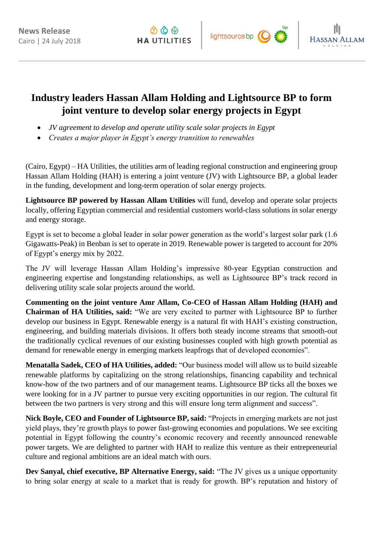

# **Industry leaders Hassan Allam Holding and Lightsource BP to form joint venture to develop solar energy projects in Egypt**

- *JV agreement to develop and operate utility scale solar projects in Egypt*
- *Creates a major player in Egypt's energy transition to renewables*

(Cairo, Egypt) – HA Utilities, the utilities arm of leading regional construction and engineering group Hassan Allam Holding (HAH) is entering a joint venture (JV) with Lightsource BP, a global leader in the funding, development and long-term operation of solar energy projects.

**Lightsource BP powered by Hassan Allam Utilities** will fund, develop and operate solar projects locally, offering Egyptian commercial and residential customers world-class solutions in solar energy and energy storage.

Egypt is set to become a global leader in solar power generation as the world's largest solar park (1.6 Gigawatts-Peak) in Benban is set to operate in 2019. Renewable power is targeted to account for 20% of Egypt's energy mix by 2022.

The JV will leverage Hassan Allam Holding's impressive 80-year Egyptian construction and engineering expertise and longstanding relationships, as well as Lightsource BP's track record in delivering utility scale solar projects around the world.

**Commenting on the joint venture Amr Allam, Co-CEO of Hassan Allam Holding (HAH) and Chairman of HA Utilities, said:** "We are very excited to partner with Lightsource BP to further develop our business in Egypt. Renewable energy is a natural fit with HAH's existing construction, engineering, and building materials divisions. It offers both steady income streams that smooth-out the traditionally cyclical revenues of our existing businesses coupled with high growth potential as demand for renewable energy in emerging markets leapfrogs that of developed economies".

**Menatalla Sadek, CEO of HA Utilities, added:** "Our business model will allow us to build sizeable renewable platforms by capitalizing on the strong relationships, financing capability and technical know-how of the two partners and of our management teams. Lightsource BP ticks all the boxes we were looking for in a JV partner to pursue very exciting opportunities in our region. The cultural fit between the two partners is very strong and this will ensure long term alignment and success".

**Nick Boyle, CEO and Founder of Lightsource BP, said:** "Projects in emerging markets are not just yield plays, they're growth plays to power fast-growing economies and populations. We see exciting potential in Egypt following the country's economic recovery and recently announced renewable power targets. We are delighted to partner with HAH to realize this venture as their entrepreneurial culture and regional ambitions are an ideal match with ours.

**Dev Sanyal, chief executive, BP Alternative Energy, said:** "The JV gives us a unique opportunity to bring solar energy at scale to a market that is ready for growth. BP's reputation and history of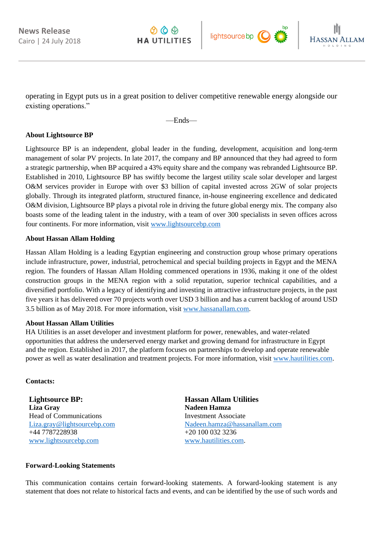



operating in Egypt puts us in a great position to deliver competitive renewable energy alongside our existing operations."

—Ends—

## **About Lightsource BP**

Lightsource BP is an independent, global leader in the funding, development, acquisition and long-term management of solar PV projects. In late 2017, the company and BP announced that they had agreed to form a strategic partnership, when BP acquired a 43% equity share and the company was rebranded Lightsource BP. Established in 2010, Lightsource BP has swiftly become the largest utility scale solar developer and largest O&M services provider in Europe with over \$3 billion of capital invested across 2GW of solar projects globally. Through its integrated platform, structured finance, in-house engineering excellence and dedicated O&M division, Lightsource BP plays a pivotal role in driving the future global energy mix. The company also boasts some of the leading talent in the industry, with a team of over 300 specialists in seven offices across four continents. For more information, visit [www.lightsourcebp.com](http://www.lightsourcebp.com/)

## **About Hassan Allam Holding**

Hassan Allam Holding is a leading Egyptian engineering and construction group whose primary operations include infrastructure, power, industrial, petrochemical and special building projects in Egypt and the MENA region. The founders of Hassan Allam Holding commenced operations in 1936, making it one of the oldest construction groups in the MENA region with a solid reputation, superior technical capabilities, and a diversified portfolio. With a legacy of identifying and investing in attractive infrastructure projects, in the past five years it has delivered over 70 projects worth over USD 3 billion and has a current backlog of around USD 3.5 billion as of May 2018. For more information, visit [www.hassanallam.com.](file:///C:/Users/Amr/Downloads/www.hassanallam.com)

# **About Hassan Allam Utilities**

HA Utilities is an asset developer and investment platform for power, renewables, and water-related opportunities that address the underserved energy market and growing demand for infrastructure in Egypt and the region. Established in 2017, the platform focuses on partnerships to develop and operate renewable power as well as water desalination and treatment projects. For more information, visit [www.hautilities.com.](http://www.hautilities.com/)

### **Contacts:**

**Lightsource BP: Liza Gray** Head of Communications [Liza.gray@lightsourcebp.com](mailto:Liza.gray@lightsourcebp.com) +44 7787228938 [www.lightsourcebp.com](http://www.lightsourcebp.com/)

**Hassan Allam Utilities Nadeen Hamza** Investment Associate [Nadeen.hamza@hassanallam.com](mailto:Nadeen.hamza@hassanallam.com) +20 100 032 3236 [www.hautilities.com.](http://www.hautilities.com/)

### **Forward-Looking Statements**

This communication contains certain forward-looking statements. A forward-looking statement is any statement that does not relate to historical facts and events, and can be identified by the use of such words and